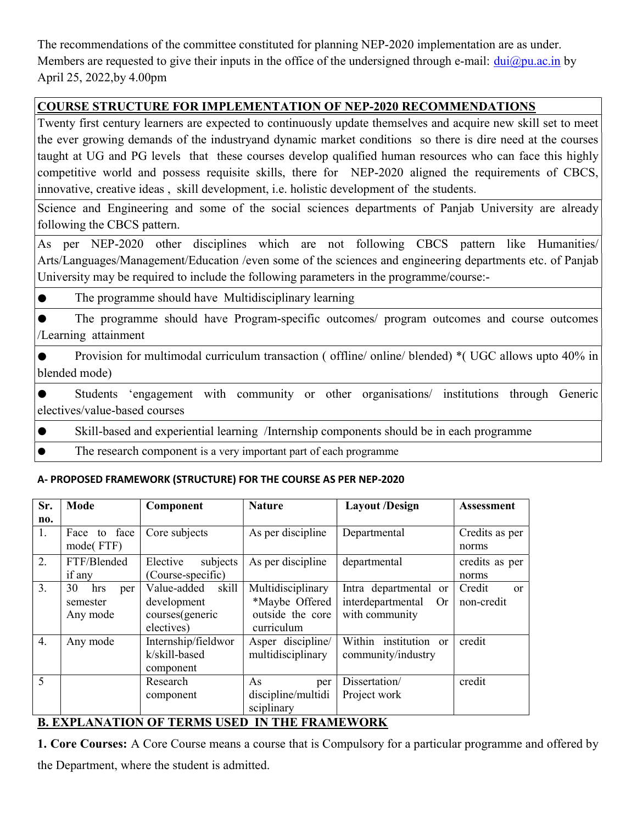The recommendations of the committee constituted for planning NEP-2020 implementation are as under. Members are requested to give their inputs in the office of the undersigned through e-mail:  $dui@pu.ac.in$  by April 25, 2022,by 4.00pm

# COURSE STRUCTURE FOR IMPLEMENTATION OF NEP-2020 RECOMMENDATIONS

Twenty first century learners are expected to continuously update themselves and acquire new skill set to meet the ever growing demands of the industryand dynamic market conditions so there is dire need at the courses taught at UG and PG levels that these courses develop qualified human resources who can face this highly competitive world and possess requisite skills, there for NEP-2020 aligned the requirements of CBCS, innovative, creative ideas , skill development, i.e. holistic development of the students.

Science and Engineering and some of the social sciences departments of Panjab University are already following the CBCS pattern.

As per NEP-2020 other disciplines which are not following CBCS pattern like Humanities/ Arts/Languages/Management/Education /even some of the sciences and engineering departments etc. of Panjab University may be required to include the following parameters in the programme/course:-

● The programme should have Multidisciplinary learning

● The programme should have Program-specific outcomes/ program outcomes and course outcomes /Learning attainment

Provision for multimodal curriculum transaction ( offline/ online/ blended) \*( UGC allows upto 40% in blended mode)

● Students 'engagement with community or other organisations/ institutions through Generic electives/value-based courses

- Skill-based and experiential learning /Internship components should be in each programme
- The research component is a very important part of each programme

### A- PROPOSED FRAMEWORK (STRUCTURE) FOR THE COURSE AS PER NEP-2020

| Sr. | <b>Mode</b>        | Component                                            | <b>Nature</b>      | <b>Layout</b> /Design                  | <b>Assessment</b>       |
|-----|--------------------|------------------------------------------------------|--------------------|----------------------------------------|-------------------------|
| no. |                    |                                                      |                    |                                        |                         |
| 1.  | face<br>Face<br>to | Core subjects                                        | As per discipline  | Departmental                           | Credits as per          |
|     | mode(FTF)          |                                                      |                    |                                        | norms                   |
| 2.  | FTF/Blended        | subjects<br>Elective                                 | As per discipline  | departmental                           | credits as per          |
|     | if any             | (Course-specific)                                    |                    |                                        | norms                   |
| 3.  | 30<br>hrs<br>per   | Value-added<br>skill                                 | Multidisciplinary  | Intra departmental or                  | Credit<br><sub>or</sub> |
|     | semester           | development                                          | *Maybe Offered     | interdepartmental<br><b>Or</b>         | non-credit              |
|     | Any mode           | courses(generic                                      | outside the core   | with community                         |                         |
|     |                    | electives)                                           | curriculum         |                                        |                         |
| 4.  | Any mode           | Internship/fieldwor                                  | Asper discipline/  | institution<br>Within<br><sub>or</sub> | credit                  |
|     |                    | k/skill-based                                        | multidisciplinary  | community/industry                     |                         |
|     |                    | component                                            |                    |                                        |                         |
| 5   |                    | Research                                             | As<br>per          | Dissertation/                          | credit                  |
|     |                    | component                                            | discipline/multidi | Project work                           |                         |
|     |                    |                                                      | sciplinary         |                                        |                         |
|     |                    | B EVAL IN URLAN OR BEDITO HOED. IN BHE ED INTERIODIZ |                    |                                        |                         |

## B. EXPLANATION OF TERMS USED IN THE FRAMEWORK

1. Core Courses: A Core Course means a course that is Compulsory for a particular programme and offered by the Department, where the student is admitted.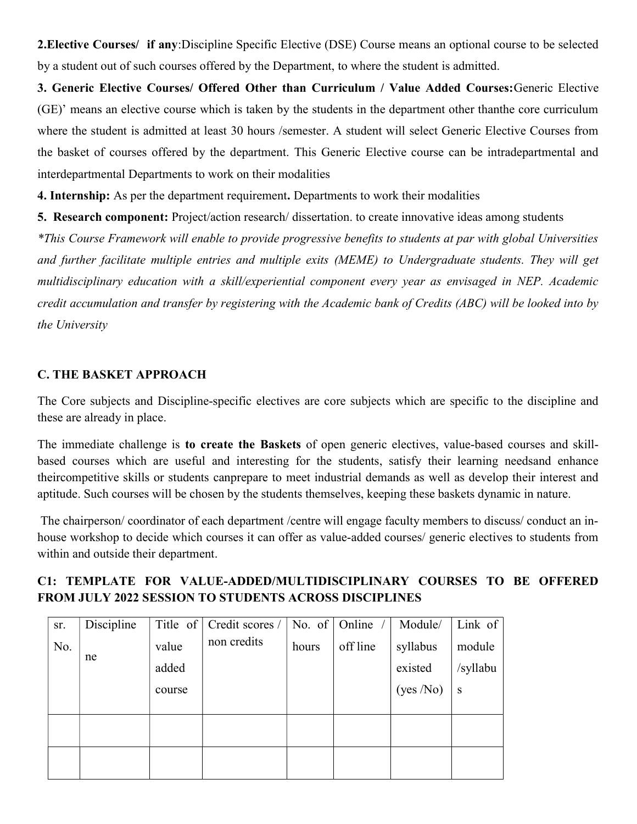2.Elective Courses/ if any:Discipline Specific Elective (DSE) Course means an optional course to be selected by a student out of such courses offered by the Department, to where the student is admitted.

3. Generic Elective Courses/ Offered Other than Curriculum / Value Added Courses:Generic Elective (GE)' means an elective course which is taken by the students in the department other thanthe core curriculum where the student is admitted at least 30 hours /semester. A student will select Generic Elective Courses from the basket of courses offered by the department. This Generic Elective course can be intradepartmental and interdepartmental Departments to work on their modalities

4. Internship: As per the department requirement. Departments to work their modalities

5. Research component: Project/action research/ dissertation. to create innovative ideas among students \*This Course Framework will enable to provide progressive benefits to students at par with global Universities

and further facilitate multiple entries and multiple exits (MEME) to Undergraduate students. They will get multidisciplinary education with a skill/experiential component every year as envisaged in NEP. Academic credit accumulation and transfer by registering with the Academic bank of Credits (ABC) will be looked into by the University

### C. THE BASKET APPROACH

The Core subjects and Discipline-specific electives are core subjects which are specific to the discipline and these are already in place.

The immediate challenge is to create the Baskets of open generic electives, value-based courses and skillbased courses which are useful and interesting for the students, satisfy their learning needsand enhance theircompetitive skills or students canprepare to meet industrial demands as well as develop their interest and aptitude. Such courses will be chosen by the students themselves, keeping these baskets dynamic in nature.

 The chairperson/ coordinator of each department /centre will engage faculty members to discuss/ conduct an inhouse workshop to decide which courses it can offer as value-added courses/ generic electives to students from within and outside their department.

## C1: TEMPLATE FOR VALUE-ADDED/MULTIDISCIPLINARY COURSES TO BE OFFERED FROM JULY 2022 SESSION TO STUDENTS ACROSS DISCIPLINES

| sr. | Discipline | Title of | Credit scores / | No. of | Online   | Module/  | Link of  |
|-----|------------|----------|-----------------|--------|----------|----------|----------|
| No. |            | value    | non credits     | hours  | off line | syllabus | module   |
|     | ne         | added    |                 |        |          | existed  | /syllabu |
|     |            | course   |                 |        |          | (yes/No) | S        |
|     |            |          |                 |        |          |          |          |
|     |            |          |                 |        |          |          |          |
|     |            |          |                 |        |          |          |          |
|     |            |          |                 |        |          |          |          |
|     |            |          |                 |        |          |          |          |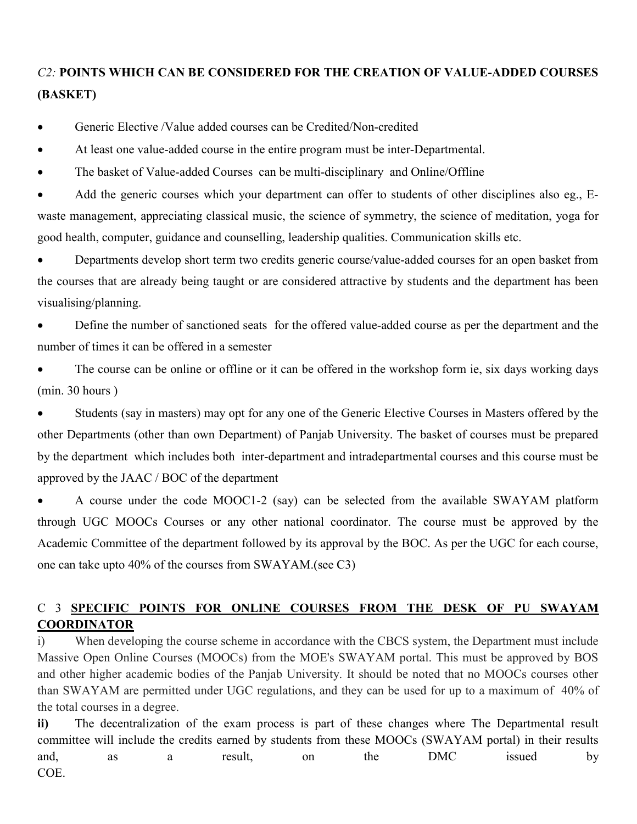# C2: POINTS WHICH CAN BE CONSIDERED FOR THE CREATION OF VALUE-ADDED COURSES (BASKET)

- Generic Elective /Value added courses can be Credited/Non-credited
- At least one value-added course in the entire program must be inter-Departmental.
- The basket of Value-added Courses can be multi-disciplinary and Online/Offline

• Add the generic courses which your department can offer to students of other disciplines also eg., Ewaste management, appreciating classical music, the science of symmetry, the science of meditation, yoga for good health, computer, guidance and counselling, leadership qualities. Communication skills etc.

 Departments develop short term two credits generic course/value-added courses for an open basket from the courses that are already being taught or are considered attractive by students and the department has been visualising/planning.

 Define the number of sanctioned seats for the offered value-added course as per the department and the number of times it can be offered in a semester

 The course can be online or offline or it can be offered in the workshop form ie, six days working days (min. 30 hours )

 Students (say in masters) may opt for any one of the Generic Elective Courses in Masters offered by the other Departments (other than own Department) of Panjab University. The basket of courses must be prepared by the department which includes both inter-department and intradepartmental courses and this course must be approved by the JAAC / BOC of the department

 A course under the code MOOC1-2 (say) can be selected from the available SWAYAM platform through UGC MOOCs Courses or any other national coordinator. The course must be approved by the Academic Committee of the department followed by its approval by the BOC. As per the UGC for each course, one can take upto 40% of the courses from SWAYAM.(see C3)

## C 3 SPECIFIC POINTS FOR ONLINE COURSES FROM THE DESK OF PU SWAYAM COORDINATOR

i) When developing the course scheme in accordance with the CBCS system, the Department must include Massive Open Online Courses (MOOCs) from the MOE's SWAYAM portal. This must be approved by BOS and other higher academic bodies of the Panjab University. It should be noted that no MOOCs courses other than SWAYAM are permitted under UGC regulations, and they can be used for up to a maximum of 40% of the total courses in a degree.

ii) The decentralization of the exam process is part of these changes where The Departmental result committee will include the credits earned by students from these MOOCs (SWAYAM portal) in their results and, as a result, on the DMC issued by COE.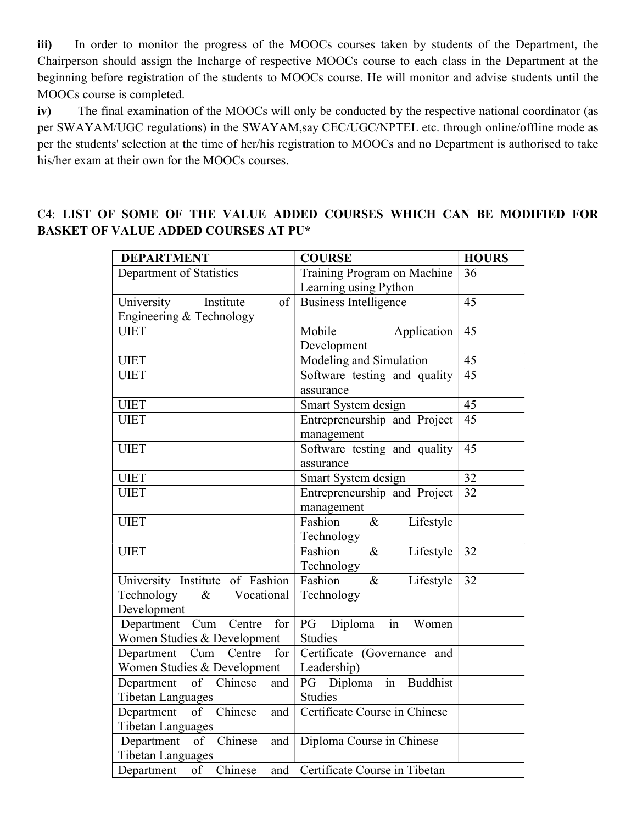iii) In order to monitor the progress of the MOOCs courses taken by students of the Department, the Chairperson should assign the Incharge of respective MOOCs course to each class in the Department at the beginning before registration of the students to MOOCs course. He will monitor and advise students until the MOOCs course is completed.

iv) The final examination of the MOOCs will only be conducted by the respective national coordinator (as per SWAYAM/UGC regulations) in the SWAYAM,say CEC/UGC/NPTEL etc. through online/offline mode as per the students' selection at the time of her/his registration to MOOCs and no Department is authorised to take his/her exam at their own for the MOOCs courses.

# C4: LIST OF SOME OF THE VALUE ADDED COURSES WHICH CAN BE MODIFIED FOR BASKET OF VALUE ADDED COURSES AT PU\*

| <b>DEPARTMENT</b>                       | <b>COURSE</b>                                        | <b>HOURS</b>    |
|-----------------------------------------|------------------------------------------------------|-----------------|
| Department of Statistics                | Training Program on Machine<br>Learning using Python | 36              |
| Institute<br>University<br>of           | <b>Business Intelligence</b>                         | 45              |
| Engineering & Technology                |                                                      |                 |
| <b>UIET</b>                             | Mobile<br>Application                                | 45              |
|                                         | Development                                          |                 |
| <b>UIET</b>                             | Modeling and Simulation                              | 45              |
| <b>UIET</b>                             | Software testing and quality                         | 45              |
|                                         | assurance                                            |                 |
| <b>UIET</b>                             | Smart System design                                  | 45              |
| <b>UIET</b>                             | Entrepreneurship and Project                         | $\overline{45}$ |
|                                         | management                                           |                 |
| <b>UIET</b>                             | Software testing and quality                         | 45              |
|                                         | assurance                                            |                 |
| <b>UIET</b>                             | Smart System design                                  | 32              |
| <b>UIET</b>                             | Entrepreneurship and Project                         | 32              |
|                                         | management                                           |                 |
| <b>UIET</b>                             | Fashion<br>Lifestyle<br>$\&$                         |                 |
|                                         | Technology                                           |                 |
| <b>UIET</b>                             | Fashion<br>Lifestyle<br>$\&$                         | 32              |
|                                         | Technology                                           |                 |
| University Institute of Fashion<br>$\&$ | Fashion<br>Lifestyle<br>$\&$                         | 32              |
| Technology<br>Vocational<br>Development | Technology                                           |                 |
| Department Cum Centre<br>for            | PG Diploma<br>in<br>Women                            |                 |
| Women Studies & Development             | <b>Studies</b>                                       |                 |
| Centre<br>Department Cum<br>for         | Certificate (Governance and                          |                 |
| Women Studies & Development             | Leadership)                                          |                 |
| Department<br>of Chinese<br>and         | in<br>PG Diploma<br><b>Buddhist</b>                  |                 |
| <b>Tibetan Languages</b>                | <b>Studies</b>                                       |                 |
| Department of Chinese<br>and            | Certificate Course in Chinese                        |                 |
| <b>Tibetan Languages</b>                |                                                      |                 |
| Department of Chinese<br>and            | Diploma Course in Chinese                            |                 |
| <b>Tibetan Languages</b>                |                                                      |                 |
| Chinese<br>of<br>Department<br>and      | Certificate Course in Tibetan                        |                 |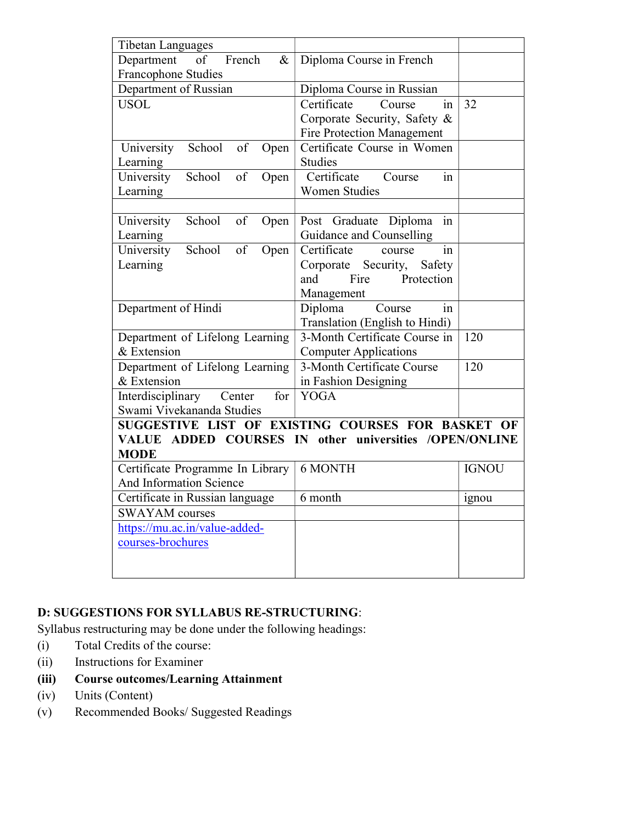| <b>Tibetan Languages</b>                                              |                                   |              |
|-----------------------------------------------------------------------|-----------------------------------|--------------|
| French<br>Department<br>$\&$<br>οf                                    | Diploma Course in French          |              |
| <b>Francophone Studies</b>                                            |                                   |              |
| Department of Russian                                                 | Diploma Course in Russian         |              |
| <b>USOL</b>                                                           | Certificate<br>Course<br>in       | 32           |
|                                                                       | Corporate Security, Safety &      |              |
|                                                                       | <b>Fire Protection Management</b> |              |
| School<br>of<br>University<br>Open                                    | Certificate Course in Women       |              |
| Learning                                                              | Studies                           |              |
| University<br>School<br>of<br>Open                                    | Certificate<br>Course<br>in       |              |
| Learning                                                              | <b>Women Studies</b>              |              |
|                                                                       |                                   |              |
| School<br>of<br>University<br>Open                                    | Post Graduate Diploma<br>in       |              |
| Learning                                                              | Guidance and Counselling          |              |
| University<br>School<br>of<br>Open                                    | Certificate<br>in<br>course       |              |
| Learning                                                              | Security,<br>Corporate<br>Safety  |              |
|                                                                       | Fire<br>and<br>Protection         |              |
|                                                                       | Management                        |              |
| Department of Hindi                                                   | Course<br>Diploma<br>in           |              |
|                                                                       | Translation (English to Hindi)    |              |
| Department of Lifelong Learning                                       | 3-Month Certificate Course in     | 120          |
| & Extension                                                           | <b>Computer Applications</b>      |              |
| Department of Lifelong Learning                                       | 3-Month Certificate Course        | 120          |
| & Extension                                                           | in Fashion Designing              |              |
| Interdisciplinary<br>Center<br>for                                    | <b>YOGA</b>                       |              |
| Swami Vivekananda Studies                                             |                                   |              |
| SUGGESTIVE LIST OF EXISTING COURSES FOR BASKET OF                     |                                   |              |
| VALUE ADDED COURSES IN other universities /OPEN/ONLINE<br><b>MODE</b> |                                   |              |
| Certificate Programme In Library                                      | 6 MONTH                           | <b>IGNOU</b> |
| And Information Science                                               |                                   |              |
| Certificate in Russian language                                       | 6 month                           | ignou        |
| <b>SWAYAM</b> courses                                                 |                                   |              |
| https://mu.ac.in/value-added-                                         |                                   |              |
| courses-brochures                                                     |                                   |              |
|                                                                       |                                   |              |
|                                                                       |                                   |              |

## D: SUGGESTIONS FOR SYLLABUS RE-STRUCTURING:

Syllabus restructuring may be done under the following headings:

- (i) Total Credits of the course:
- (ii) Instructions for Examiner
- (iii) Course outcomes/Learning Attainment
- (iv) Units (Content)
- (v) Recommended Books/ Suggested Readings